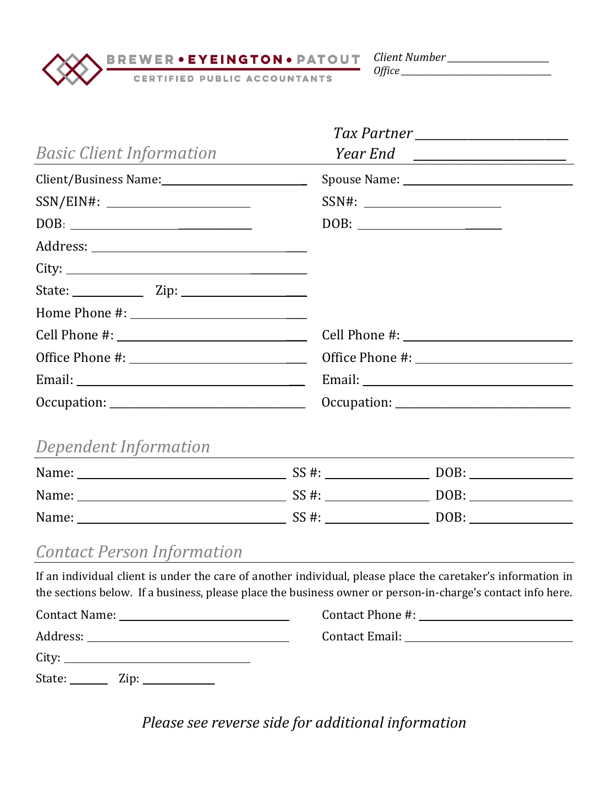*Client Number \_\_\_\_\_\_\_\_\_\_\_\_\_\_\_\_\_\_\_\_\_\_\_* 

BREWER • EYEINGTON • PATOUT<br>CERTIFIED PUBLIC ACCOUNTANTS

*Office \_\_\_\_\_\_\_\_\_\_\_\_\_\_\_\_\_\_\_\_\_\_\_\_\_\_\_\_\_\_\_\_\_\_\_\_\_*

| <b>Basic Client Information</b>                                                                                                                                                                                             |             |       |  |
|-----------------------------------------------------------------------------------------------------------------------------------------------------------------------------------------------------------------------------|-------------|-------|--|
| Client/Business Name: 1997                                                                                                                                                                                                  |             |       |  |
|                                                                                                                                                                                                                             |             | SSN#: |  |
|                                                                                                                                                                                                                             |             |       |  |
|                                                                                                                                                                                                                             |             |       |  |
|                                                                                                                                                                                                                             |             |       |  |
| State: <u>Zip: Zip:</u>                                                                                                                                                                                                     |             |       |  |
|                                                                                                                                                                                                                             |             |       |  |
|                                                                                                                                                                                                                             |             |       |  |
|                                                                                                                                                                                                                             |             |       |  |
|                                                                                                                                                                                                                             |             |       |  |
|                                                                                                                                                                                                                             | Occulation: |       |  |
| Dependent Information                                                                                                                                                                                                       |             |       |  |
|                                                                                                                                                                                                                             |             |       |  |
|                                                                                                                                                                                                                             |             |       |  |
|                                                                                                                                                                                                                             |             |       |  |
| <b>Contact Person Information</b>                                                                                                                                                                                           |             |       |  |
| If an individual client is under the care of another individual, please place the caretaker's information in<br>the sections below. If a business, please place the business owner or person-in-charge's contact info here. |             |       |  |
|                                                                                                                                                                                                                             |             |       |  |
| Address:<br><u> 1989 - Johann Barn, mars ann an t-Amhain ann an t-Amhain an t-Amhain an t-Amhain an t-Amhain an t-Amhain an t-</u>                                                                                          |             |       |  |

City: State: <u>Zip:</u>

*Please see reverse side for additional information*